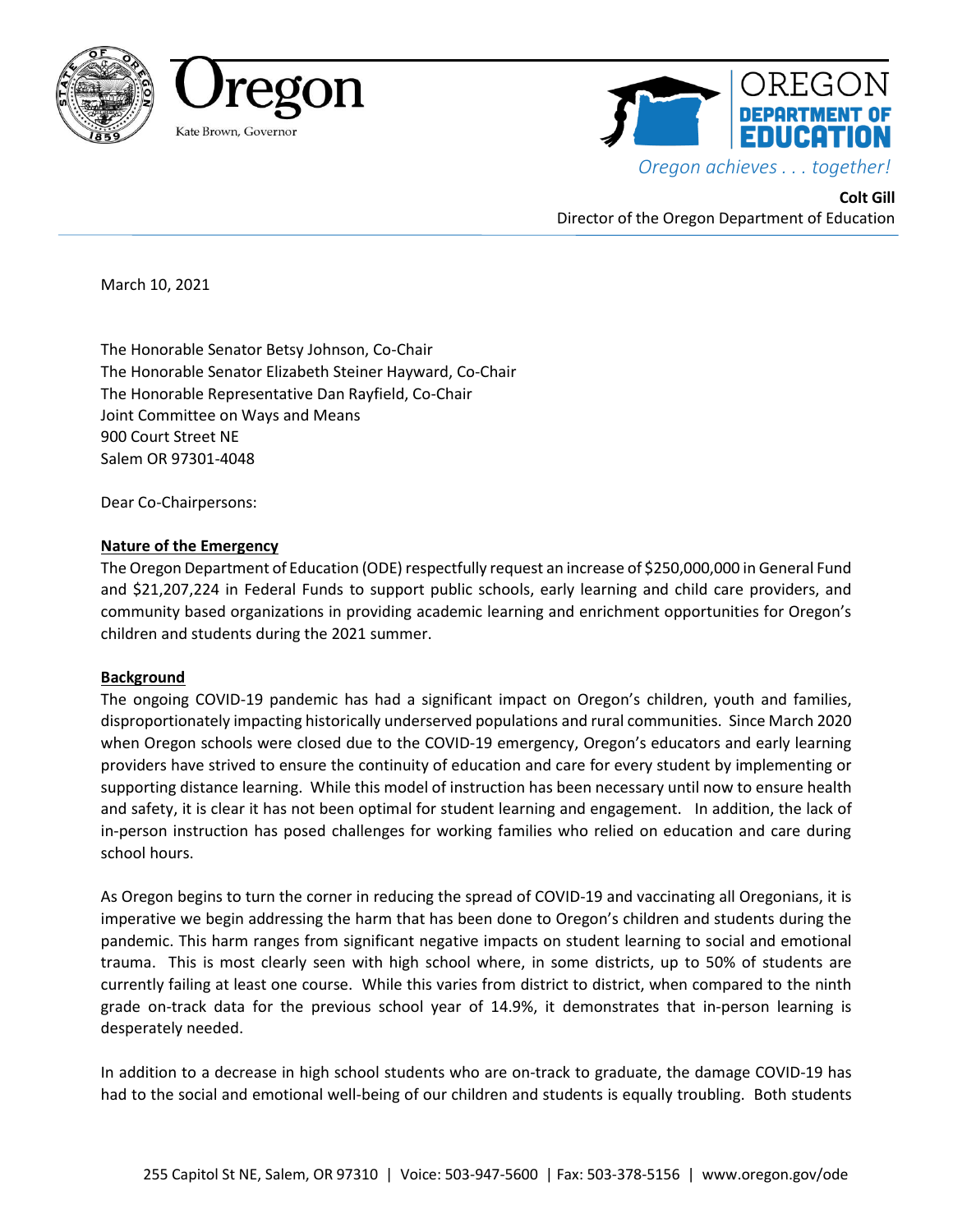





**Colt Gill** Director of the Oregon Department of Education

March 10, 2021

The Honorable Senator Betsy Johnson, Co-Chair The Honorable Senator Elizabeth Steiner Hayward, Co-Chair The Honorable Representative Dan Rayfield, Co-Chair Joint Committee on Ways and Means 900 Court Street NE Salem OR 97301-4048

Dear Co-Chairpersons:

# **Nature of the Emergency**

The Oregon Department of Education (ODE) respectfully request an increase of \$250,000,000 in General Fund and \$21,207,224 in Federal Funds to support public schools, early learning and child care providers, and community based organizations in providing academic learning and enrichment opportunities for Oregon's children and students during the 2021 summer.

# **Background**

The ongoing COVID-19 pandemic has had a significant impact on Oregon's children, youth and families, disproportionately impacting historically underserved populations and rural communities. Since March 2020 when Oregon schools were closed due to the COVID-19 emergency, Oregon's educators and early learning providers have strived to ensure the continuity of education and care for every student by implementing or supporting distance learning. While this model of instruction has been necessary until now to ensure health and safety, it is clear it has not been optimal for student learning and engagement. In addition, the lack of in-person instruction has posed challenges for working families who relied on education and care during school hours.

As Oregon begins to turn the corner in reducing the spread of COVID-19 and vaccinating all Oregonians, it is imperative we begin addressing the harm that has been done to Oregon's children and students during the pandemic. This harm ranges from significant negative impacts on student learning to social and emotional trauma. This is most clearly seen with high school where, in some districts, up to 50% of students are currently failing at least one course. While this varies from district to district, when compared to the ninth grade on-track data for the previous school year of 14.9%, it demonstrates that in-person learning is desperately needed.

In addition to a decrease in high school students who are on-track to graduate, the damage COVID-19 has had to the social and emotional well-being of our children and students is equally troubling. Both students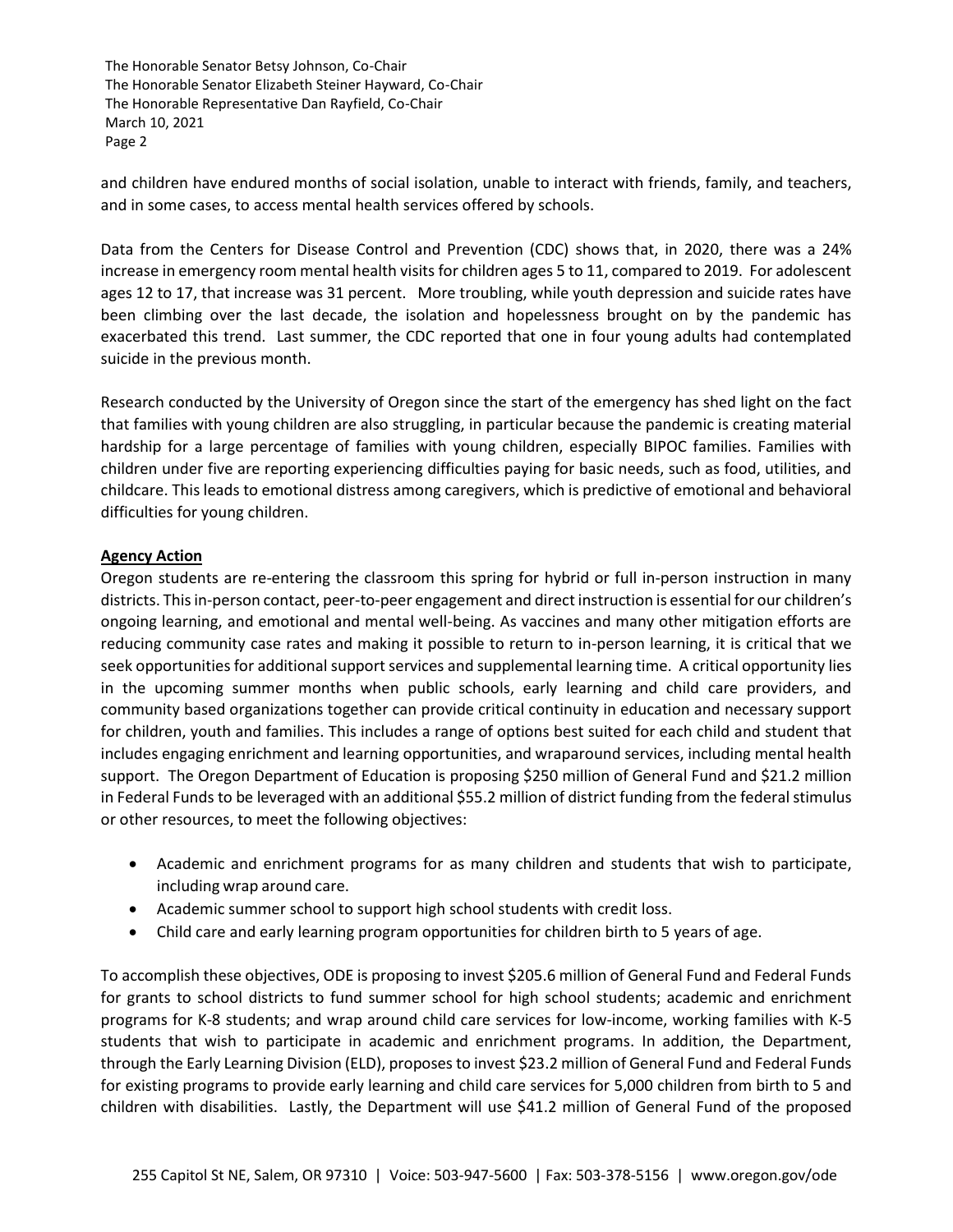and children have endured months of social isolation, unable to interact with friends, family, and teachers, and in some cases, to access mental health services offered by schools.

Data from the Centers for Disease Control and Prevention (CDC) shows that, in 2020, there was a 24% increase in emergency room mental health visits for children ages 5 to 11, compared to 2019. For adolescent ages 12 to 17, that increase was 31 percent. More troubling, while youth depression and suicide rates have been climbing over the last decade, the isolation and hopelessness brought on by the pandemic has exacerbated this trend. Last summer, the CDC reported that one in four young adults had contemplated suicide in the previous month.

Research conducted by the University of Oregon since the start of the emergency has shed light on the fact that families with young children are also struggling, in particular because the pandemic is creating material hardship for a large percentage of families with young children, especially BIPOC families. Families with children under five are reporting experiencing difficulties paying for basic needs, such as food, utilities, and childcare. This leads to emotional distress among caregivers, which is predictive of emotional and behavioral difficulties for young children.

### **Agency Action**

Oregon students are re-entering the classroom this spring for hybrid or full in-person instruction in many districts. This in-person contact, peer-to-peer engagement and direct instruction is essential for our children's ongoing learning, and emotional and mental well-being. As vaccines and many other mitigation efforts are reducing community case rates and making it possible to return to in-person learning, it is critical that we seek opportunities for additional support services and supplemental learning time. A critical opportunity lies in the upcoming summer months when public schools, early learning and child care providers, and community based organizations together can provide critical continuity in education and necessary support for children, youth and families. This includes a range of options best suited for each child and student that includes engaging enrichment and learning opportunities, and wraparound services, including mental health support. The Oregon Department of Education is proposing \$250 million of General Fund and \$21.2 million in Federal Funds to be leveraged with an additional \$55.2 million of district funding from the federal stimulus or other resources, to meet the following objectives:

- Academic and enrichment programs for as many children and students that wish to participate, including wrap around care.
- Academic summer school to support high school students with credit loss.
- Child care and early learning program opportunities for children birth to 5 years of age.

To accomplish these objectives, ODE is proposing to invest \$205.6 million of General Fund and Federal Funds for grants to school districts to fund summer school for high school students; academic and enrichment programs for K-8 students; and wrap around child care services for low-income, working families with K-5 students that wish to participate in academic and enrichment programs. In addition, the Department, through the Early Learning Division (ELD), proposes to invest \$23.2 million of General Fund and Federal Funds for existing programs to provide early learning and child care services for 5,000 children from birth to 5 and children with disabilities. Lastly, the Department will use \$41.2 million of General Fund of the proposed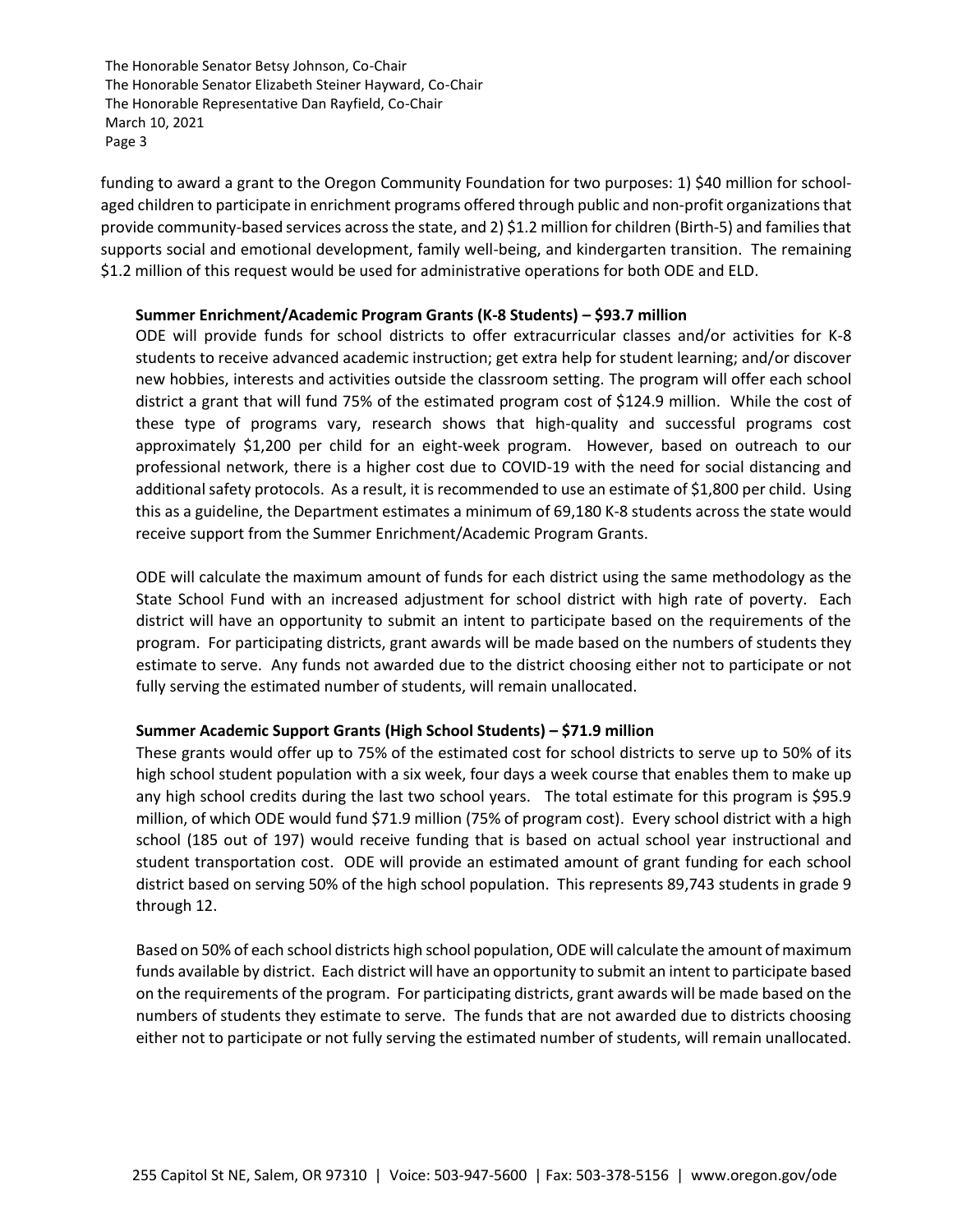funding to award a grant to the Oregon Community Foundation for two purposes: 1) \$40 million for schoolaged children to participate in enrichment programs offered through public and non-profit organizations that provide community-based services across the state, and 2) \$1.2 million for children (Birth-5) and families that supports social and emotional development, family well-being, and kindergarten transition. The remaining \$1.2 million of this request would be used for administrative operations for both ODE and ELD.

### **Summer Enrichment/Academic Program Grants (K-8 Students) – \$93.7 million**

ODE will provide funds for school districts to offer extracurricular classes and/or activities for K-8 students to receive advanced academic instruction; get extra help for student learning; and/or discover new hobbies, interests and activities outside the classroom setting. The program will offer each school district a grant that will fund 75% of the estimated program cost of \$124.9 million. While the cost of these type of programs vary, research shows that high-quality and successful programs cost approximately \$1,200 per child for an eight-week program. However, based on outreach to our professional network, there is a higher cost due to COVID-19 with the need for social distancing and additional safety protocols. As a result, it is recommended to use an estimate of \$1,800 per child. Using this as a guideline, the Department estimates a minimum of 69,180 K-8 students across the state would receive support from the Summer Enrichment/Academic Program Grants.

ODE will calculate the maximum amount of funds for each district using the same methodology as the State School Fund with an increased adjustment for school district with high rate of poverty. Each district will have an opportunity to submit an intent to participate based on the requirements of the program. For participating districts, grant awards will be made based on the numbers of students they estimate to serve. Any funds not awarded due to the district choosing either not to participate or not fully serving the estimated number of students, will remain unallocated.

# **Summer Academic Support Grants (High School Students) – \$71.9 million**

These grants would offer up to 75% of the estimated cost for school districts to serve up to 50% of its high school student population with a six week, four days a week course that enables them to make up any high school credits during the last two school years. The total estimate for this program is \$95.9 million, of which ODE would fund \$71.9 million (75% of program cost). Every school district with a high school (185 out of 197) would receive funding that is based on actual school year instructional and student transportation cost. ODE will provide an estimated amount of grant funding for each school district based on serving 50% of the high school population. This represents 89,743 students in grade 9 through 12.

Based on 50% of each school districts high school population, ODE will calculate the amount of maximum funds available by district. Each district will have an opportunity to submit an intent to participate based on the requirements of the program. For participating districts, grant awards will be made based on the numbers of students they estimate to serve. The funds that are not awarded due to districts choosing either not to participate or not fully serving the estimated number of students, will remain unallocated.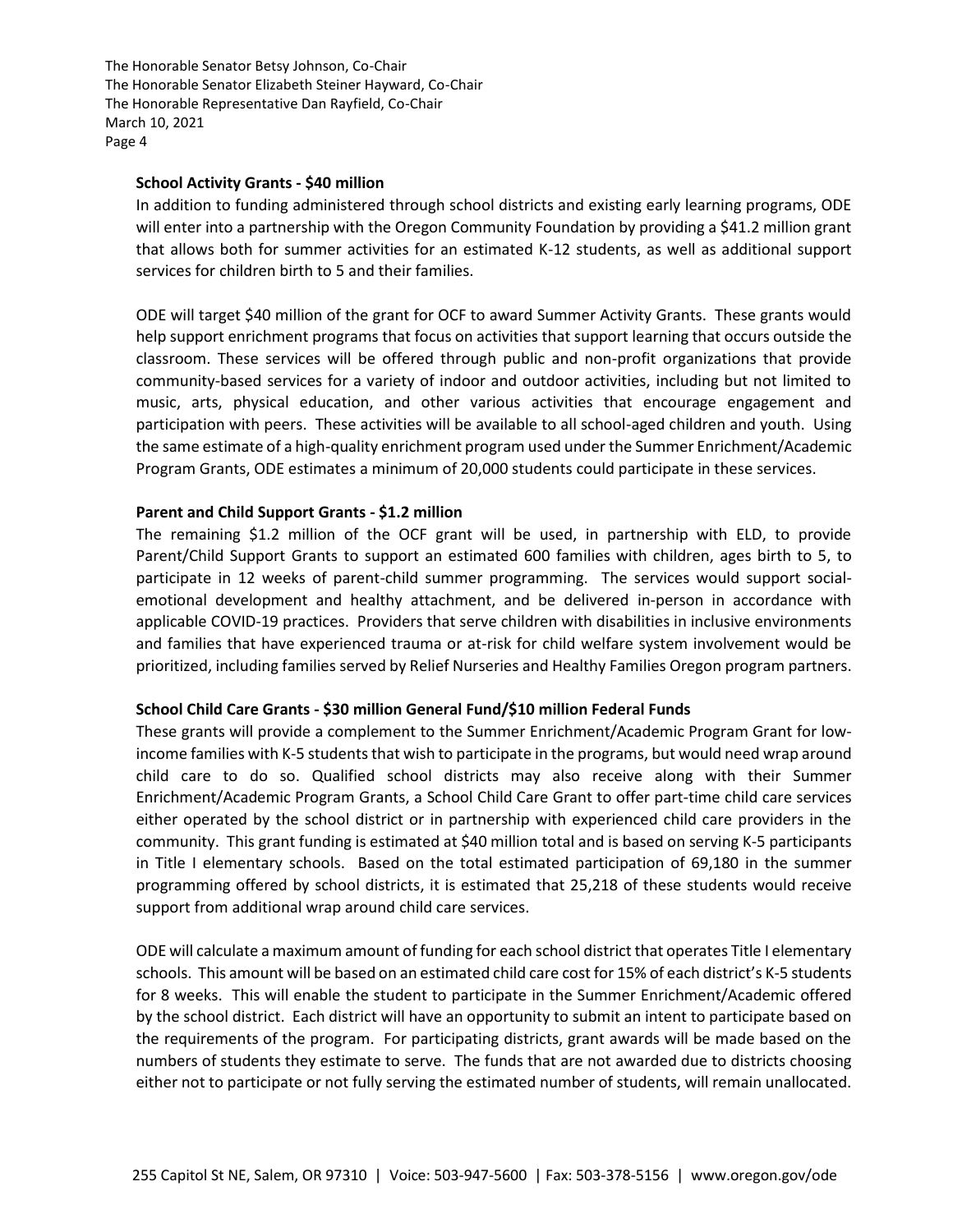#### **School Activity Grants - \$40 million**

In addition to funding administered through school districts and existing early learning programs, ODE will enter into a partnership with the Oregon Community Foundation by providing a \$41.2 million grant that allows both for summer activities for an estimated K-12 students, as well as additional support services for children birth to 5 and their families.

ODE will target \$40 million of the grant for OCF to award Summer Activity Grants. These grants would help support enrichment programs that focus on activities that support learning that occurs outside the classroom. These services will be offered through public and non-profit organizations that provide community-based services for a variety of indoor and outdoor activities, including but not limited to music, arts, physical education, and other various activities that encourage engagement and participation with peers. These activities will be available to all school-aged children and youth. Using the same estimate of a high-quality enrichment program used under the Summer Enrichment/Academic Program Grants, ODE estimates a minimum of 20,000 students could participate in these services.

### **Parent and Child Support Grants - \$1.2 million**

The remaining \$1.2 million of the OCF grant will be used, in partnership with ELD, to provide Parent/Child Support Grants to support an estimated 600 families with children, ages birth to 5, to participate in 12 weeks of parent-child summer programming. The services would support socialemotional development and healthy attachment, and be delivered in-person in accordance with applicable COVID-19 practices. Providers that serve children with disabilities in inclusive environments and families that have experienced trauma or at-risk for child welfare system involvement would be prioritized, including families served by Relief Nurseries and Healthy Families Oregon program partners.

#### **School Child Care Grants - \$30 million General Fund/\$10 million Federal Funds**

These grants will provide a complement to the Summer Enrichment/Academic Program Grant for lowincome families with K-5 students that wish to participate in the programs, but would need wrap around child care to do so. Qualified school districts may also receive along with their Summer Enrichment/Academic Program Grants, a School Child Care Grant to offer part-time child care services either operated by the school district or in partnership with experienced child care providers in the community. This grant funding is estimated at \$40 million total and is based on serving K-5 participants in Title I elementary schools. Based on the total estimated participation of 69,180 in the summer programming offered by school districts, it is estimated that 25,218 of these students would receive support from additional wrap around child care services.

ODE will calculate a maximum amount of funding for each school district that operates Title I elementary schools. This amount will be based on an estimated child care cost for 15% of each district's K-5 students for 8 weeks. This will enable the student to participate in the Summer Enrichment/Academic offered by the school district. Each district will have an opportunity to submit an intent to participate based on the requirements of the program. For participating districts, grant awards will be made based on the numbers of students they estimate to serve. The funds that are not awarded due to districts choosing either not to participate or not fully serving the estimated number of students, will remain unallocated.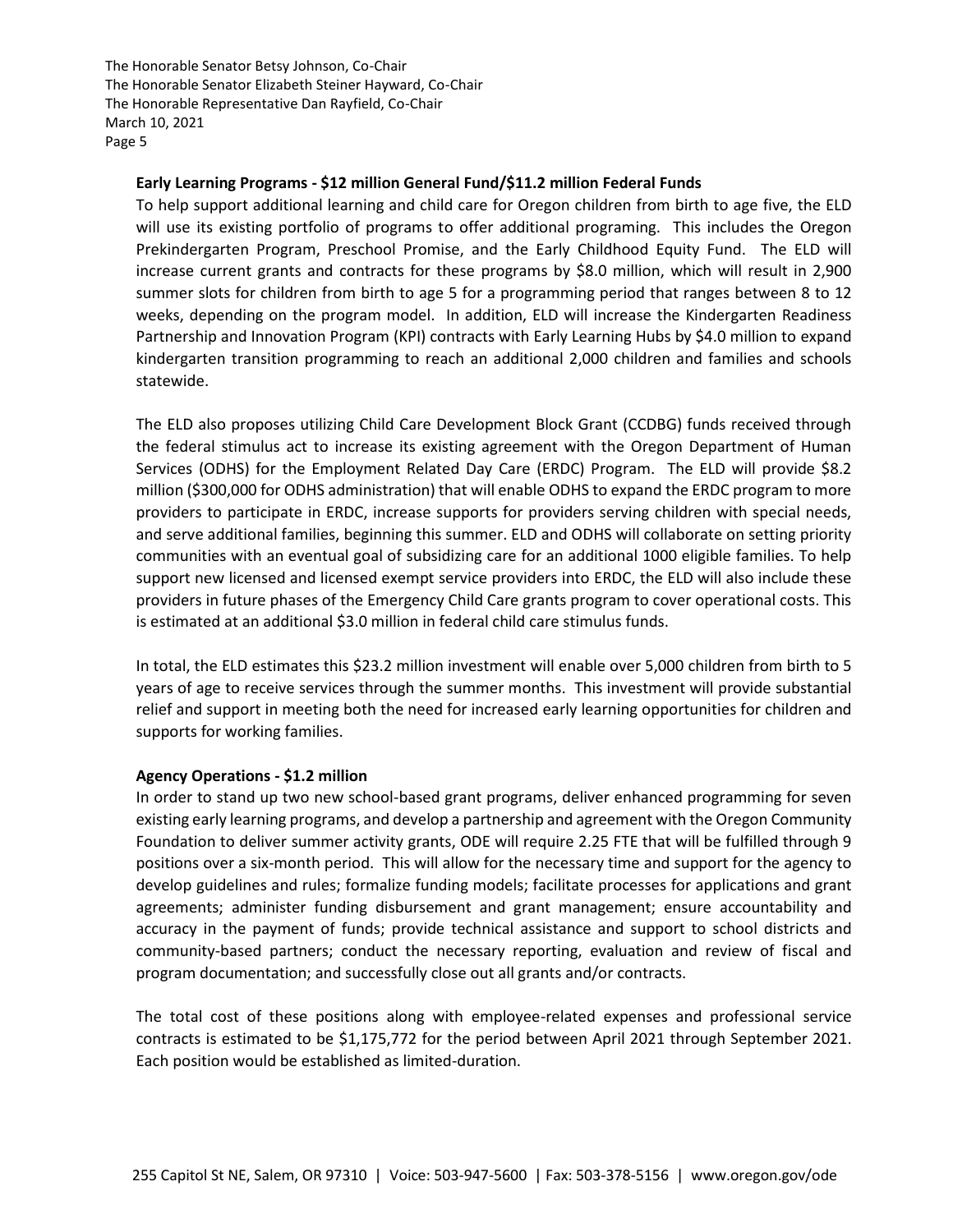### **Early Learning Programs - \$12 million General Fund/\$11.2 million Federal Funds**

To help support additional learning and child care for Oregon children from birth to age five, the ELD will use its existing portfolio of programs to offer additional programing. This includes the Oregon Prekindergarten Program, Preschool Promise, and the Early Childhood Equity Fund. The ELD will increase current grants and contracts for these programs by \$8.0 million, which will result in 2,900 summer slots for children from birth to age 5 for a programming period that ranges between 8 to 12 weeks, depending on the program model. In addition, ELD will increase the Kindergarten Readiness Partnership and Innovation Program (KPI) contracts with Early Learning Hubs by \$4.0 million to expand kindergarten transition programming to reach an additional 2,000 children and families and schools statewide.

The ELD also proposes utilizing Child Care Development Block Grant (CCDBG) funds received through the federal stimulus act to increase its existing agreement with the Oregon Department of Human Services (ODHS) for the Employment Related Day Care (ERDC) Program. The ELD will provide \$8.2 million (\$300,000 for ODHS administration) that will enable ODHS to expand the ERDC program to more providers to participate in ERDC, increase supports for providers serving children with special needs, and serve additional families, beginning this summer. ELD and ODHS will collaborate on setting priority communities with an eventual goal of subsidizing care for an additional 1000 eligible families. To help support new licensed and licensed exempt service providers into ERDC, the ELD will also include these providers in future phases of the Emergency Child Care grants program to cover operational costs. This is estimated at an additional \$3.0 million in federal child care stimulus funds.

In total, the ELD estimates this \$23.2 million investment will enable over 5,000 children from birth to 5 years of age to receive services through the summer months. This investment will provide substantial relief and support in meeting both the need for increased early learning opportunities for children and supports for working families.

# **Agency Operations - \$1.2 million**

In order to stand up two new school-based grant programs, deliver enhanced programming for seven existing early learning programs, and develop a partnership and agreement with the Oregon Community Foundation to deliver summer activity grants, ODE will require 2.25 FTE that will be fulfilled through 9 positions over a six-month period. This will allow for the necessary time and support for the agency to develop guidelines and rules; formalize funding models; facilitate processes for applications and grant agreements; administer funding disbursement and grant management; ensure accountability and accuracy in the payment of funds; provide technical assistance and support to school districts and community-based partners; conduct the necessary reporting, evaluation and review of fiscal and program documentation; and successfully close out all grants and/or contracts.

The total cost of these positions along with employee-related expenses and professional service contracts is estimated to be \$1,175,772 for the period between April 2021 through September 2021. Each position would be established as limited-duration.